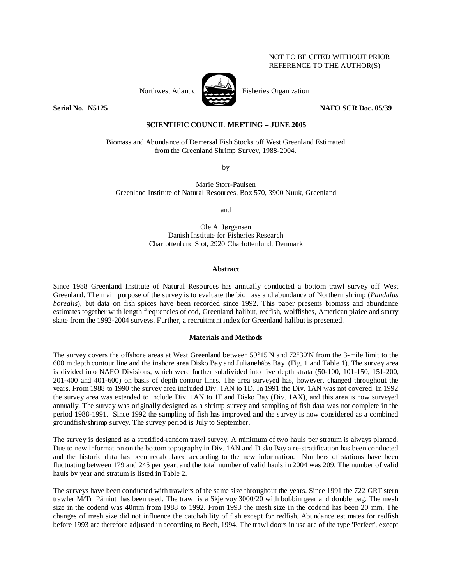# NOT TO BE CITED WITHOUT PRIOR REFERENCE TO THE AUTHOR(S)



Northwest Atlantic Fisheries Organization

**Serial No. 35125** NAFO SCR Doc. 05/39

# **SCIENTIFIC COUNCIL MEETING – JUNE 2005**

Biomass and Abundance of Demersal Fish Stocks off West Greenland Estimated from the Greenland Shrimp Survey, 1988-2004.

by

Marie Storr-Paulsen Greenland Institute of Natural Resources, Box 570, 3900 Nuuk, Greenland

and

Ole A. Jørgensen Danish Institute for Fisheries Research Charlottenlund Slot, 2920 Charlottenlund, Denmark

# **Abstract**

Since 1988 Greenland Institute of Natural Resources has annually conducted a bottom trawl survey off West Greenland. The main purpose of the survey is to evaluate the biomass and abundance of Northern shrimp (*Pandalus borealis*), but data on fish spices have been recorded since 1992. This paper presents biomass and abundance estimates together with length frequencies of cod, Greenland halibut, redfish, wolffishes, American plaice and starry skate from the 1992-2004 surveys. Further, a recruitment index for Greenland halibut is presented.

# **Materials and Methods**

The survey covers the offshore areas at West Greenland between 59°15'N and 72°30'N from the 3-mile limit to the 600 m depth contour line and the inshore area Disko Bay and Julianehåbs Bay (Fig. 1 and Table 1). The survey area is divided into NAFO Divisions, which were further subdivided into five depth strata (50-100, 101-150, 151-200, 201-400 and 401-600) on basis of depth contour lines. The area surveyed has, however, changed throughout the years. From 1988 to 1990 the survey area included Div. 1AN to 1D. In 1991 the Div. 1AN was not covered. In 1992 the survey area was extended to include Div. 1AN to 1F and Disko Bay (Div. 1AX), and this area is now surveyed annually. The survey was originally designed as a shrimp survey and sampling of fish data was not complete in the period 1988-1991. Since 1992 the sampling of fish has improved and the survey is now considered as a combined groundfish/shrimp survey. The survey period is July to September.

The survey is designed as a stratified-random trawl survey. A minimum of two hauls per stratum is always planned. Due to new information on the bottom topography in Div. 1AN and Disko Bay a re-stratification has been conducted and the historic data has been recalculated according to the new information. Numbers of stations have been fluctuating between 179 and 245 per year, and the total number of valid hauls in 2004 was 209. The number of valid hauls by year and stratum is listed in Table 2.

The surveys have been conducted with trawlers of the same size throughout the years. Since 1991 the 722 GRT stern trawler M/Tr 'Pâmiut' has been used. The trawl is a Skjervoy 3000/20 with bobbin gear and double bag. The mesh size in the codend was 40mm from 1988 to 1992. From 1993 the mesh size in the codend has been 20 mm. The changes of mesh size did not influence the catchability of fish except for redfish. Abundance estimates for redfish before 1993 are therefore adjusted in according to Bech, 1994. The trawl doors in use are of the type 'Perfect', except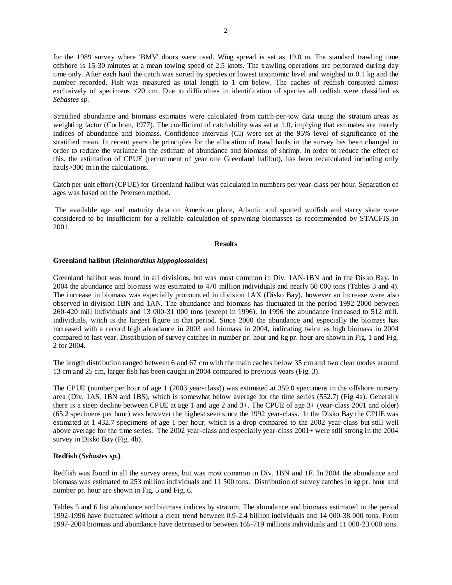for the 1989 survey where 'BMV' doors were used. Wing spread is set as 19.0 m. The standard trawling time offshore is 15-30 minutes at a mean towing speed of 2.5 knots. The trawling operations are performed during day time only. After each haul the catch was sorted by species or lowest taxonomic level and weighed to 0.1 kg and the number recorded. Fish was measured as total length to 1 cm below. The caches of redfish consisted almost exclusively of specimens <20 cm. Due to difficulties in identification of species all redfish were classified as *Sebastes sp.*

Stratified abundance and biomass estimates were calculated from catch-per-tow data using the stratum areas as weighting factor (Cochran, 1977). The coefficient of catchability was set at 1.0, implying that estimates are merely indices of abundance and biomass. Confidence intervals (CI) were set at the 95% level of significance of the stratified mean. In recent years the principles for the allocation of trawl hauls in the survey has been changed in order to reduce the variance in the estimate of abundance and biomass of shrimp. In order to reduce the effect of this, the estimation of CPUE (recruitment of year one Greenland halibut), has been recalculated including only hauls>300 m in the calculations.

Catch per unit effort (CPUE) for Greenland halibut was calculated in numbers per year-class per hour. Separation of ages was based on the Petersen method.

 The available age and maturity data on American place, Atlantic and spotted wolfish and starry skate were considered to be insufficient for a reliable calculation of spawning biomasses as recommended by STACFIS in 2001.

### **Results**

# **Greenland halibut (***Reinhardtius hippoglossoides***)**

Greenland halibut was found in all divisions, but was most common in Div. 1AN-1BN and in the Disko Bay. In 2004 the abundance and biomass was estimated to 470 million individuals and nearly 60 000 tons (Tables 3 and 4). The increase in biomass was especially pronounced in division 1AX (Disko Bay), however an increase were also observed in division 1BN and 1AN. The abundance and biomass has fluctuated in the period 1992-2000 between 260-420 mill individuals and 13 000-31 000 tons (except in 1996). In 1996 the abundance increased to 512 mill. individuals, witch is the largest figure in that period. Since 2000 the abundance and especially the biomass has increased with a record high abundance in 2003 and biomass in 2004, indicating twice as high biomass in 2004 compared to last year. Distribution of survey catches in number pr. hour and kg pr. hour are shown in Fig. 1 and Fig. 2 for 2004.

The length distribution ranged between 6 and 67 cm with the main caches below 35 cm and two clear modes around 13 cm and 25 cm, larger fish has been caught in 2004 compared to previous years (Fig. 3).

The CPUE (number per hour of age 1 (2003 year-class)) was estimated at 359.0 specimens in the offshore nursery area (Div. 1AS, 1BN and 1BS), which is somewhat below average for the time series (552.7) (Fig 4a). Generally there is a steep decline between CPUE at age 1 and age 2 and 3+. The CPUE of age 3+ (year-class 2001 and older) (65.2 specimens per hour) was however the highest seen since the 1992 year-class. In the Disko Bay the CPUE was estimated at 1 432.7 specimens of age 1 per hour, which is a drop compared to the 2002 year-class but still well above average for the time series. The 2002 year-class and especially year-class 2001+ were still strong in the 2004 survey in Disko Bay (Fig. 4b).

# **Redfish (***Sebastes sp.***)**

Redfish was found in all the survey areas, but was most common in Div. 1BN and 1F. In 2004 the abundance and biomass was estimated to 253 million individuals and 11 500 tons. Distribution of survey catches in kg pr. hour and number pr. hour are shown in Fig. 5 and Fig. 6.

Tables 5 and 6 list abundance and biomass indices by stratum. The abundance and biomass estimated in the period 1992-1996 have fluctuated without a clear trend between 0.9-2.4 billion individuals and 14 000-38 000 tons. From 1997-2004 biomass and abundance have decreased to between 165-719 millions individuals and 11 000-23 000 tons.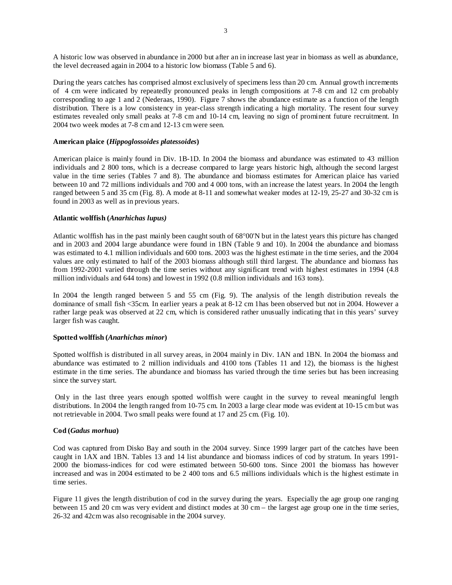A historic low was observed in abundance in 2000 but after an in increase last year in biomass as well as abundance, the level decreased again in 2004 to a historic low biomass (Table 5 and 6).

During the years catches has comprised almost exclusively of specimens less than 20 cm. Annual growth increments of 4 cm were indicated by repeatedly pronounced peaks in length compositions at 7-8 cm and 12 cm probably corresponding to age 1 and 2 (Nederaas, 1990). Figure 7 shows the abundance estimate as a function of the length distribution. There is a low consistency in year-class strength indicating a high mortality. The resent four survey estimates revealed only small peaks at 7-8 cm and 10-14 cm, leaving no sign of prominent future recruitment. In 2004 two week modes at 7-8 cm and 12-13 cm were seen.

# **American plaice (***Hippoglossoides platessoides***)**

American plaice is mainly found in Div. 1B-1D. In 2004 the biomass and abundance was estimated to 43 million individuals and 2 800 tons, which is a decrease compared to large years historic high, although the second largest value in the time series (Tables 7 and 8). The abundance and biomass estimates for American plaice has varied between 10 and 72 millions individuals and 700 and 4 000 tons, with an increase the latest years. In 2004 the length ranged between 5 and 35 cm (Fig. 8). A mode at 8-11 and somewhat weaker modes at 12-19, 25-27 and 30-32 cm is found in 2003 as well as in previous years.

# **Atlantic wolffish (***Anarhichas lupus)*

Atlantic wolffish has in the past mainly been caught south of 68°00'N but in the latest years this picture has changed and in 2003 and 2004 large abundance were found in 1BN (Table 9 and 10). In 2004 the abundance and biomass was estimated to 4.1 million individuals and 600 tons. 2003 was the highest estimate in the time series, and the 2004 values are only estimated to half of the 2003 biomass although still third largest. The abundance and biomass has from 1992-2001 varied through the time series without any significant trend with highest estimates in 1994 (4.8 million individuals and 644 tons) and lowest in 1992 (0.8 million individuals and 163 tons).

In 2004 the length ranged between 5 and 55 cm (Fig. 9). The analysis of the length distribution reveals the dominance of small fish <35cm. In earlier years a peak at 8-12 cm 1has been observed but not in 2004. However a rather large peak was observed at 22 cm, which is considered rather unusually indicating that in this years' survey larger fish was caught.

# **Spotted wolffish (***Anarhichas minor***)**

Spotted wolffish is distributed in all survey areas, in 2004 mainly in Div. 1AN and 1BN. In 2004 the biomass and abundance was estimated to 2 million individuals and 4100 tons (Tables 11 and 12), the biomass is the highest estimate in the time series. The abundance and biomass has varied through the time series but has been increasing since the survey start.

 Only in the last three years enough spotted wolffish were caught in the survey to reveal meaningful length distributions. In 2004 the length ranged from 10-75 cm. In 2003 a large clear mode was evident at 10-15 cm but was not retrievable in 2004. Two small peaks were found at 17 and 25 cm. (Fig. 10).

# **Cod (***Gadus morhua***)**

Cod was captured from Disko Bay and south in the 2004 survey. Since 1999 larger part of the catches have been caught in 1AX and 1BN. Tables 13 and 14 list abundance and biomass indices of cod by stratum. In years 1991- 2000 the biomass-indices for cod were estimated between 50-600 tons. Since 2001 the biomass has however increased and was in 2004 estimated to be 2 400 tons and 6.5 millions individuals which is the highest estimate in time series.

Figure 11 gives the length distribution of cod in the survey during the years. Especially the age group one ranging between 15 and 20 cm was very evident and distinct modes at 30 cm – the largest age group one in the time series, 26-32 and 42cm was also recognisable in the 2004 survey.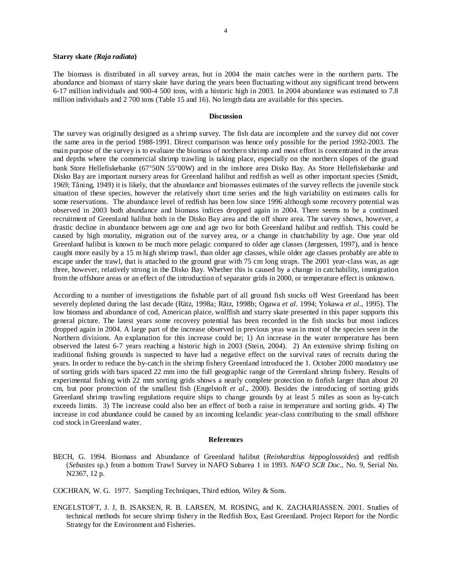#### **Starry skate** *(Raja radiata***)**

The biomass is distributed in all survey areas, but in 2004 the main catches were in the northern parts. The abundance and biomass of starry skate have during the years been fluctuating without any significant trend between 6-17 million individuals and 900-4 500 tons, with a historic high in 2003. In 2004 abundance was estimated to 7.8 million individuals and 2 700 tons (Table 15 and 16). No length data are available for this species.

#### **Discussion**

The survey was originally designed as a shrimp survey. The fish data are incomplete and the survey did not cover the same area in the period 1988-1991. Direct comparison was hence only possible for the period 1992-2003. The main purpose of the survey is to evaluate the biomass of northern shrimp and most effort is concentrated in the areas and depths where the commercial shrimp trawling is taking place, especially on the northern slopes of the grand bank Store Hellefiskebanke (67°50N 55°00W) and in the inshore area Disko Bay. As Store Hellefiskebanke and Disko Bay are important nursery areas for Greenland halibut and redfish as well as other important species (Smidt, 1969; Tåning, 1949) it is likely, that the abundance and biomasses estimates of the survey reflects the juvenile stock situation of these species, however the relatively short time series and the high variability on estimates calls for some reservations. The abundance level of redfish has been low since 1996 although some recovery potential was observed in 2003 both abundance and biomass indices dropped again in 2004. There seems to be a continued recruitment of Greenland halibut both in the Disko Bay area and the off shore area. The survey shows, however, a drastic decline in abundance between age one and age two for both Greenland halibut and redfish. This could be caused by high mortality, migration out of the survey area, or a change in chatchability by age. One year old Greenland halibut is known to be much more pelagic compared to older age classes (Jørgensen, 1997), and is hence caught more easily by a 15 m high shrimp trawl, than older age classes, while older age classes probably are able to escape under the trawl, that is attached to the ground gear with 75 cm long straps. The 2001 year-class was, as age three, however, relatively strong in the Disko Bay. Whether this is caused by a change in catchability, immigration from the offshore areas or an effect of the introduction of separator grids in 2000, or temperature effect is unknown.

According to a number of investigations the fishable part of all ground fish stocks off West Greenland has been severely depleted during the last decade (Rätz, 1998a; Rätz, 1998b; Ogawa *et al*. 1994; Yokawa *et al*., 1995). The low biomass and abundance of cod, American plaice, wolffish and starry skate presented in this paper supports this general picture. The latest years some recovery potential has been recorded in the fish stocks but most indices dropped again in 2004. A large part of the increase observed in previous yeas was in most of the species seen in the Northern divisions. An explanation for this increase could be; 1) An increase in the water temperature has been observed the latest 6-7 years reaching a historic high in 2003 (Stein, 2004). 2) An extensive shrimp fishing on traditional fishing grounds is suspected to have had a negative effect on the survival rates of recruits during the years. In order to reduce the by-catch in the shrimp fishery Greenland introduced the 1. October 2000 mandatory use of sorting grids with bars spaced 22 mm into the full geographic range of the Greenland shrimp fishery. Results of experimental fishing with 22 mm sorting grids shows a nearly complete protection to finfish larger than about 20 cm, but poor protection of the smallest fish (Engelstoft *et al*., 2000). Besides the introducing of sorting grids Greenland shrimp trawling regulations require ships to change grounds by at least 5 miles as soon as by-catch exceeds limits. 3) The increase could also bee an effect of both a raise in temperature and sorting grids. 4) The increase in cod abundance could be caused by an incoming Icelandic year-class contributing to the small offshore cod stock in Greenland water.

#### **References**

BECH, G. 1994. Biomass and Abundance of Greenland halibut (*Reinhardtius hippoglossoides*) and redfish (*Sebastes* sp.) from a bottom Trawl Survey in NAFO Subarea 1 in 1993. *NAFO SCR Doc*., No. 9, Serial No. N2367, 12 p.

COCHRAN, W. G. 1977. Sampling Techniques, Third edtion, Wiley & Sons.

ENGELSTOFT, J. J, B. ISAKSEN, R. B. LARSEN, M. ROSING, and K. ZACHARIASSEN. 2001. Studies of technical methods for secure shrimp fishery in the Redfish Box, East Greenland. Project Report for the Nordic Strategy for the Environment and Fisheries.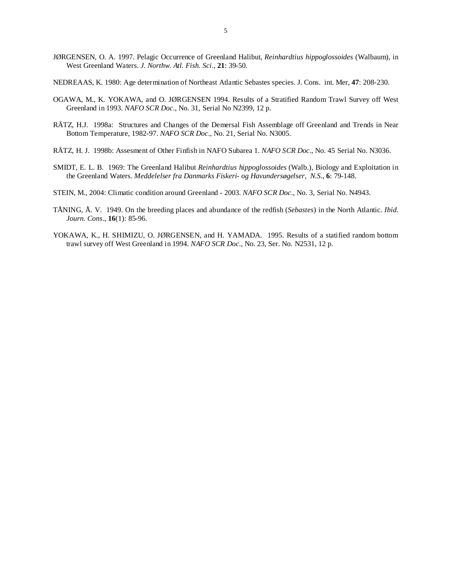- JØRGENSEN, O. A. 1997. Pelagic Occurrence of Greenland Halibut, *Reinhardtius hippoglossoides* (Walbaum), in West Greenland Waters. *J. Northw. Atl. Fish. Sci.*, **21**: 39-50.
- NEDREAAS, K. 1980: Age determination of Northeast Atlantic Sebastes species. J. Cons. int. Mer, **47**: 208-230.
- OGAWA, M., K. YOKAWA, and O. JØRGENSEN 1994. Results of a Stratified Random Trawl Survey off West Greenland in 1993. *NAFO SCR Doc*., No. 31, Serial No N2399, 12 p.
- RÄTZ, H.J. 1998a: Structures and Changes of the Demersal Fish Assemblage off Greenland and Trends in Near Bottom Temperature, 1982-97. *NAFO SCR Doc*., No. 21, Serial No. N3005.
- RÄTZ, H. J. 1998b: Assesment of Other Finfish in NAFO Subarea 1. *NAFO SCR Doc*., No. 45 Serial No. N3036.
- SMIDT, E. L. B. 1969: The Greenland Halibut *Reinhardtius hippoglossoides* (Walb.), Biology and Exploitation in the Greenland Waters. *Meddelelser fra Danmarks Fiskeri- og Havundersøgelser*, *N.S*., **6**: 79-148.
- STEIN, M., 2004: Climatic condition around Greenland 2003. *NAFO SCR Doc*., No. 3, Serial No. N4943.
- TÅNING, Å. V. 1949. On the breeding places and abundance of the redfish (*Sebastes*) in the North Atlantic. *Ibid*. *Journ. Cons*., **16**(1): 85-96.
- YOKAWA, K., H. SHIMIZU, O. JØRGENSEN, and H. YAMADA. 1995. Results of a statified random bottom trawl survey off West Greenland in 1994. *NAFO SCR Doc*., No. 23, Ser. No. N2531, 12 p.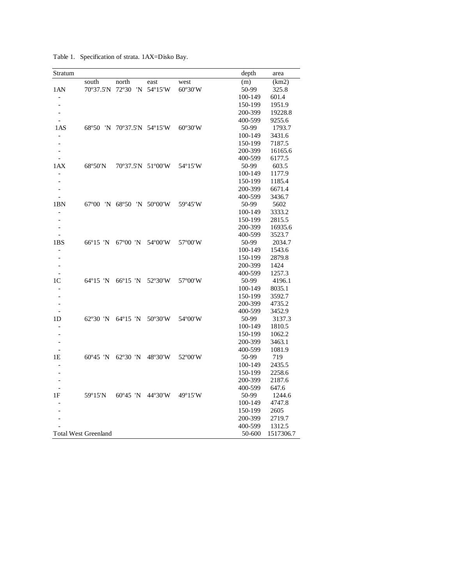|  | Table 1. Specification of strata. 1AX=Disko Bay. |
|--|--------------------------------------------------|
|  |                                                  |

| Stratum                  |                             |                     |         |         | depth   | area      |
|--------------------------|-----------------------------|---------------------|---------|---------|---------|-----------|
|                          | south                       | north               | east    | west    | (m)     | (km2)     |
| 1AN                      | 70°37.5'N                   | 72°30<br>'N         | 54°15'W | 60°30'W | 50-99   | 325.8     |
|                          |                             |                     |         |         | 100-149 | 601.4     |
|                          |                             |                     |         |         | 150-199 | 1951.9    |
|                          |                             |                     |         |         | 200-399 | 19228.8   |
|                          |                             |                     |         |         | 400-599 | 9255.6    |
| 1AS                      | 68°50<br>'N                 | 70°37.5'N 54°15'W   |         | 60°30'W | 50-99   | 1793.7    |
|                          |                             |                     |         |         | 100-149 | 3431.6    |
| $\overline{a}$           |                             |                     |         |         | 150-199 | 7187.5    |
| $\overline{a}$           |                             |                     |         |         | 200-399 | 16165.6   |
| $\overline{\phantom{a}}$ |                             |                     |         |         | 400-599 | 6177.5    |
| 1AX                      | 68°50'N                     | 70°37.5'N 51°00'W   |         | 54°15'W | 50-99   | 603.5     |
| $\overline{a}$           |                             |                     |         |         | 100-149 | 1177.9    |
|                          |                             |                     |         |         | 150-199 | 1185.4    |
|                          |                             |                     |         |         | 200-399 | 6671.4    |
|                          |                             |                     |         |         | 400-599 | 3436.7    |
| 1BN                      | $67^{\circ}00$              | 'N 68°50 'N 50°00'W |         | 59°45'W | 50-99   | 5602      |
|                          |                             |                     |         |         | 100-149 | 3333.2    |
|                          |                             |                     |         |         | 150-199 | 2815.5    |
|                          |                             |                     |         |         | 200-399 | 16935.6   |
|                          |                             |                     |         |         | 400-599 | 3523.7    |
| 1BS                      | 66°15 'N                    | $67^{\circ}00$ 'N   | 54°00'W | 57°00'W | 50-99   | 2034.7    |
|                          |                             |                     |         |         | 100-149 | 1543.6    |
|                          |                             |                     |         |         | 150-199 | 2879.8    |
|                          |                             |                     |         |         | 200-399 | 1424      |
|                          |                             |                     |         |         | 400-599 | 1257.3    |
| 1 <sup>C</sup>           | 64°15 'N                    | 66°15 'N            | 52°30'W | 57°00'W | 50-99   | 4196.1    |
|                          |                             |                     |         |         | 100-149 | 8035.1    |
|                          |                             |                     |         |         | 150-199 | 3592.7    |
|                          |                             |                     |         |         | 200-399 | 4735.2    |
|                          |                             |                     |         |         | 400-599 | 3452.9    |
| 1D                       | $62^{\circ}30$ 'N           | $64^{\circ}15$ 'N   | 50°30'W | 54°00'W | 50-99   | 3137.3    |
|                          |                             |                     |         |         | 100-149 | 1810.5    |
|                          |                             |                     |         |         | 150-199 | 1062.2    |
|                          |                             |                     |         |         | 200-399 | 3463.1    |
|                          |                             |                     |         |         | 400-599 | 1081.9    |
| 1Ε                       | $60^{\circ}45$ 'N           | $62^{\circ}30$ 'N   | 48°30'W | 52°00'W | 50-99   | 719       |
|                          |                             |                     |         |         | 100-149 | 2435.5    |
|                          |                             |                     |         |         | 150-199 | 2258.6    |
|                          |                             |                     |         |         | 200-399 | 2187.6    |
|                          |                             |                     |         |         | 400-599 | 647.6     |
| 1F                       | 59°15'N                     | $60^{\circ}45$ 'N   | 44°30'W | 49°15'W | 50-99   | 1244.6    |
|                          |                             |                     |         |         | 100-149 | 4747.8    |
|                          |                             |                     |         |         | 150-199 | 2605      |
|                          |                             |                     |         |         | 200-399 | 2719.7    |
|                          |                             |                     |         |         | 400-599 | 1312.5    |
|                          | <b>Total West Greenland</b> |                     |         |         | 50-600  | 1517306.7 |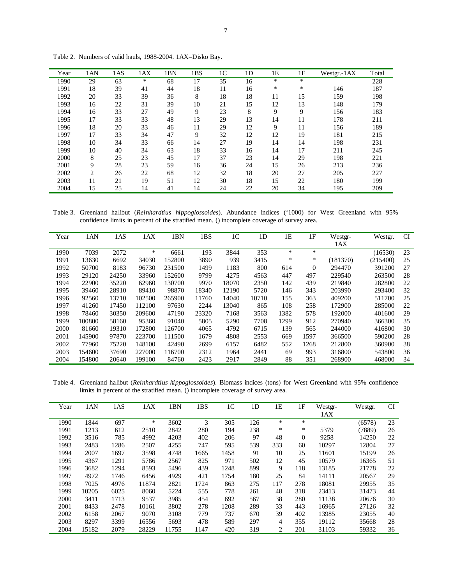| Year | 1AN | 1AS | 1AX | 1BN | 1BS | 1 <sup>C</sup> | 1 <sub>D</sub> | 1E | 1F     | Westgr.-1AX | Total |
|------|-----|-----|-----|-----|-----|----------------|----------------|----|--------|-------------|-------|
| 1990 | 29  | 63  | *   | 68  | 17  | 35             | 16             | *  | $\ast$ |             | 228   |
| 1991 | 18  | 39  | 41  | 44  | 18  | 11             | 16             | *  | *      | 146         | 187   |
| 1992 | 20  | 33  | 39  | 36  | 8   | 18             | 18             | 11 | 15     | 159         | 198   |
| 1993 | 16  | 22  | 31  | 39  | 10  | 21             | 15             | 12 | 13     | 148         | 179   |
| 1994 | 16  | 33  | 27  | 49  | 9   | 23             | 8              | 9  | 9      | 156         | 183   |
| 1995 | 17  | 33  | 33  | 48  | 13  | 29             | 13             | 14 | 11     | 178         | 211   |
| 1996 | 18  | 20  | 33  | 46  | 11  | 29             | 12             | 9  | 11     | 156         | 189   |
| 1997 | 17  | 33  | 34  | 47  | 9   | 32             | 12             | 12 | 19     | 181         | 215   |
| 1998 | 10  | 34  | 33  | 66  | 14  | 27             | 19             | 14 | 14     | 198         | 231   |
| 1999 | 10  | 40  | 34  | 63  | 18  | 33             | 16             | 14 | 17     | 211         | 245   |
| 2000 | 8   | 25  | 23  | 45  | 17  | 37             | 23             | 14 | 29     | 198         | 221   |
| 2001 | 9   | 28  | 23  | 59  | 16  | 36             | 24             | 15 | 26     | 213         | 236   |
| 2002 | 2   | 26  | 22  | 68  | 12  | 32             | 18             | 20 | 27     | 205         | 227   |
| 2003 | 11  | 21  | 19  | 51  | 12  | 30             | 18             | 15 | 22     | 180         | 199   |
| 2004 | 15  | 25  | 14  | 41  | 14  | 24             | 22             | 20 | 34     | 195         | 209   |

Table 2. Numbers of valid hauls, 1988-2004. 1AX=Disko Bay.

Table 3. Greenland halibut (*Reinhardtius hippoglossoides*). Abundance indices ('1000) for West Greenland with 95% confidence limits in percent of the stratified mean. () incomplete coverage of survey area.

| Year | 1AN    | 1AS   | 1AX    | 1BN    | 1BS   | 1C    | 1 <sub>D</sub> | 1E   | 1F             | Westgr-<br>1AX | Westgr.  | <b>CI</b> |
|------|--------|-------|--------|--------|-------|-------|----------------|------|----------------|----------------|----------|-----------|
|      |        |       |        |        |       |       |                |      |                |                |          |           |
| 1990 | 7039   | 2072  | ∗      | 6661   | 193   | 3844  | 353            | ∗    | $\ast$         |                | (16530)  | 23        |
| 1991 | 13630  | 6692  | 34030  | 152800 | 3890  | 939   | 3415           | ∗    | ∗              | (181370)       | (215400) | 25        |
| 1992 | 50700  | 8183  | 96730  | 231500 | 1499  | 1183  | 800            | 614  | $\overline{0}$ | 294470         | 391200   | 27        |
| 1993 | 29120  | 24250 | 33960  | 152600 | 9799  | 4275  | 4563           | 447  | 497            | 229540         | 263500   | 28        |
| 1994 | 22900  | 35220 | 62960  | 130700 | 9970  | 18070 | 2350           | 142  | 439            | 219840         | 282800   | 22        |
| 1995 | 39460  | 28910 | 89410  | 98870  | 18340 | 12190 | 5720           | 146  | 343            | 203990         | 293400   | 32        |
| 1996 | 92560  | 13710 | 102500 | 265900 | 11760 | 14040 | 10710          | 155  | 363            | 409200         | 511700   | 25        |
| 1997 | 41260  | 17450 | 112100 | 97630  | 2244  | 13040 | 865            | 108  | 258            | 172900         | 285000   | 22        |
| 1998 | 78460  | 30350 | 209600 | 47190  | 23320 | 7168  | 3563           | 1382 | 578            | 192000         | 401600   | 29        |
| 1999 | 100800 | 58160 | 95360  | 91040  | 5805  | 5290  | 7708           | 1299 | 912            | 270940         | 366300   | 35        |
| 2000 | 81660  | 19310 | 172800 | 126700 | 4065  | 4792  | 6715           | 139  | 565            | 244000         | 416800   | 30        |
| 2001 | 145900 | 97870 | 223700 | 111500 | 1679  | 4808  | 2553           | 669  | 1597           | 366500         | 590200   | 28        |
| 2002 | 77960  | 75220 | 148100 | 42490  | 2699  | 6157  | 6482           | 552  | 1268           | 212800         | 360900   | 38        |
| 2003 | 154600 | 37690 | 227000 | 116700 | 2312  | 1964  | 2441           | 69   | 993            | 316800         | 543800   | 36        |
| 2004 | 154800 | 20640 | 199100 | 84760  | 2423  | 2917  | 2849           | 88   | 351            | 268900         | 468000   | 34        |

Table 4. Greenland halibut (*Reinhardtius hippoglossoides*). Biomass indices (tons) for West Greenland with 95% confidence limits in percent of the stratified mean. () incomplete coverage of survey area.

| Year | 1AN   | 1AS  | 1AX   | 1BN   | 1BS  | 1C   | 1 <sub>D</sub> | 1Ε  | 1F             | Westgr- | Westgr. | <b>CI</b> |
|------|-------|------|-------|-------|------|------|----------------|-----|----------------|---------|---------|-----------|
|      |       |      |       |       |      |      |                |     |                | 1AX     |         |           |
| 1990 | 1844  | 697  | ∗     | 3602  | 3    | 305  | 126            | *   | *              |         | (6578)  | 23        |
| 1991 | 1213  | 612  | 2510  | 2842  | 280  | 194  | 238            | *   | *              | 5379    | (7889)  | 26        |
| 1992 | 3516  | 785  | 4992  | 4203  | 402  | 206  | 97             | 48  | $\overline{0}$ | 9258    | 14250   | 22        |
| 1993 | 2483  | 1286 | 2507  | 4255  | 747  | 595  | 539            | 333 | 60             | 10297   | 12804   | 27        |
| 1994 | 2007  | 1697 | 3598  | 4748  | 1665 | 1458 | 91             | 10  | 25             | 11601   | 15199   | 26        |
| 1995 | 4367  | 1291 | 5786  | 2567  | 825  | 971  | 502            | 12  | 45             | 10579   | 16365   | 51        |
| 1996 | 3682  | 1294 | 8593  | 5496  | 439  | 1248 | 899            | 9   | 118            | 13185   | 21778   | 22        |
| 1997 | 4972  | 1746 | 6456  | 4929  | 421  | 1754 | 180            | 25  | 84             | 14111   | 20567   | 29        |
| 1998 | 7025  | 4976 | 11874 | 2821  | 1724 | 863  | 275            | 117 | 278            | 18081   | 29955   | 35        |
| 1999 | 10205 | 6025 | 8060  | 5224  | 555  | 778  | 261            | 48  | 318            | 23413   | 31473   | 44        |
| 2000 | 3411  | 1713 | 9537  | 3985  | 454  | 692  | 567            | 38  | 280            | 11138   | 20676   | 30        |
| 2001 | 8433  | 2478 | 10161 | 3802  | 278  | 1208 | 289            | 33  | 443            | 16965   | 27126   | 32        |
| 2002 | 6158  | 2067 | 9070  | 3108  | 779  | 737  | 670            | 39  | 402            | 13985   | 23055   | 40        |
| 2003 | 8297  | 3399 | 16556 | 5693  | 478  | 589  | 297            | 4   | 355            | 19112   | 35668   | 28        |
| 2004 | 15182 | 2079 | 28229 | 11755 | 1147 | 420  | 319            | 2   | 201            | 31103   | 59332   | 36        |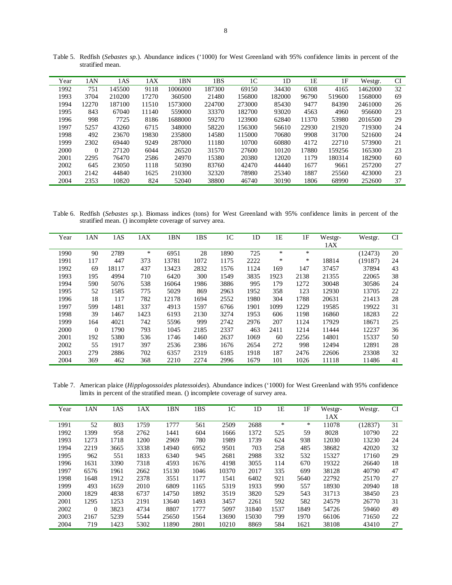| Year | 1AN   | 1AS    | 1AX   | 1BN     | 1BS    | 1 <sup>C</sup> | 1 <sub>D</sub> | 1E    | 1F     | Westgr. | CI |
|------|-------|--------|-------|---------|--------|----------------|----------------|-------|--------|---------|----|
| 1992 | 751   | 145500 | 9118  | 1006000 | 187300 | 69150          | 34430          | 6308  | 4165   | 1462000 | 32 |
| 1993 | 3704  | 210200 | 17270 | 360500  | 21480  | 156800         | 182000         | 96790 | 519600 | 1568000 | 69 |
| 1994 | 12270 | 187100 | 11510 | 1573000 | 224700 | 273000         | 85430          | 9477  | 84390  | 2461000 | 26 |
| 1995 | 843   | 67040  | 11140 | 559000  | 33370  | 182700         | 93020          | 4563  | 4960   | 956600  | 23 |
| 1996 | 998   | 7725   | 8186  | 1688000 | 59270  | 123900         | 62840          | 11370 | 53980  | 2016500 | 29 |
| 1997 | 5257  | 43260  | 6715  | 348000  | 58220  | 156300         | 56610          | 22930 | 21920  | 719300  | 24 |
| 1998 | 492   | 23670  | 19830 | 235800  | 14580  | 115000         | 70680          | 9908  | 31700  | 521600  | 24 |
| 1999 | 2302  | 69440  | 9249  | 287000  | 11180  | 10700          | 60880          | 4172  | 22710  | 573900  | 21 |
| 2000 | 0     | 27120  | 6044  | 26520   | 31570  | 27600          | 10120          | 17880 | 159256 | 165300  | 23 |
| 2001 | 2295  | 76470  | 2586  | 24970   | 15380  | 20380          | 12020          | 1179  | 180314 | 182900  | 60 |
| 2002 | 645   | 23050  | 1118  | 50390   | 83760  | 42470          | 44440          | 1677  | 9661   | 257200  | 27 |
| 2003 | 2142  | 44840  | 1625  | 210300  | 32320  | 78980          | 25340          | 1887  | 25560  | 423000  | 23 |
| 2004 | 2353  | 10820  | 824   | 52040   | 38800  | 46740          | 30190          | 1806  | 68990  | 252600  | 37 |

Table 5. Redfish (*Sebastes sp.*). Abundance indices ('1000) for West Greenland with 95% confidence limits in percent of the stratified mean.

Table 6. Redfish (*Sebastes sp.*). Biomass indices (tons) for West Greenland with 95% confidence limits in percent of the stratified mean. () incomplete coverage of survey area.

| Year | 1AN      | 1AS   | 1AX  | 1BN   | 1BS  | 1 <sup>C</sup> | 1 <sub>D</sub> | 1E   | 1F   | Westgr- | Westgr. | <b>CI</b> |
|------|----------|-------|------|-------|------|----------------|----------------|------|------|---------|---------|-----------|
|      |          |       |      |       |      |                |                |      |      | 1AX     |         |           |
| 1990 | 90       | 2789  | *    | 6951  | 28   | 1890           | 725            | *    | *    |         | (12473) | 20        |
| 1991 | 117      | 447   | 373  | 13781 | 1072 | 1175           | 2222           | ∗    | ∗    | 18814   | (19187) | 24        |
| 1992 | 69       | 18117 | 437  | 13423 | 2832 | 1576           | 1124           | 169  | 147  | 37457   | 37894   | 43        |
| 1993 | 195      | 4994  | 710  | 6420  | 300  | 1549           | 3835           | 1923 | 2138 | 21355   | 22065   | 38        |
| 1994 | 590      | 5076  | 538  | 16064 | 1986 | 3886           | 995            | 179  | 1272 | 30048   | 30586   | 24        |
| 1995 | 52       | 1585  | 775  | 5029  | 869  | 2963           | 1952           | 358  | 123  | 12930   | 13705   | 22        |
| 1996 | 18       | 117   | 782  | 12178 | 1694 | 2552           | 1980           | 304  | 1788 | 20631   | 21413   | 28        |
| 1997 | 599      | 1481  | 337  | 4913  | 1597 | 6766           | 1901           | 1099 | 1229 | 19585   | 19922   | 31        |
| 1998 | 39       | 1467  | 1423 | 6193  | 2130 | 3274           | 1953           | 606  | 1198 | 16860   | 18283   | 22        |
| 1999 | 164      | 4021  | 742  | 5596  | 999  | 2742           | 2976           | 207  | 1124 | 17929   | 18671   | 25        |
| 2000 | $\Omega$ | 1790  | 793  | 1045  | 2185 | 2337           | 463            | 2411 | 1214 | 11444   | 12237   | 36        |
| 2001 | 192      | 5380  | 536  | 1746  | 1460 | 2637           | 1069           | 60   | 2256 | 14801   | 15337   | 50        |
| 2002 | 55       | 1917  | 397  | 2536  | 2386 | 1676           | 2654           | 272  | 998  | 12494   | 12891   | 28        |
| 2003 | 279      | 2886  | 702  | 6357  | 2319 | 6185           | 1918           | 187  | 2476 | 22606   | 23308   | 32        |
| 2004 | 369      | 462   | 368  | 2210  | 2274 | 2996           | 1679           | 101  | 1026 | 11118   | 11486   | 41        |

Table 7. American plaice (*Hipplogossoides platessoides*). Abundance indices ('1000) for West Greenland with 95% confidence limits in percent of the stratified mean. () incomplete coverage of survey area.

| Year | 1AN      | 1AS  | 1AX  | 1BN   | 1BS  | 1 <sup>C</sup> | 1 <sub>D</sub> | 1E   | 1F   | Westgr- | Westgr. | <b>CI</b> |
|------|----------|------|------|-------|------|----------------|----------------|------|------|---------|---------|-----------|
|      |          |      |      |       |      |                |                |      |      | 1AX     |         |           |
| 1991 | 52       | 803  | 1759 | 1777  | 561  | 2509           | 2688           | *    | *    | 11078   | (12837) | 31        |
| 1992 | 1399     | 958  | 2762 | 1441  | 604  | 1666           | 1372           | 525  | 59   | 8028    | 10790   | 22        |
| 1993 | 1273     | 1718 | 1200 | 2969  | 780  | 1989           | 1739           | 624  | 938  | 12030   | 13230   | 24        |
| 1994 | 2219     | 3665 | 3338 | 14940 | 6952 | 9501           | 703            | 258  | 485  | 38682   | 42020   | 32        |
| 1995 | 962      | 551  | 1833 | 6340  | 945  | 2681           | 2988           | 332  | 532  | 15327   | 17160   | 29        |
| 1996 | 1631     | 3390 | 7318 | 4593  | 1676 | 4198           | 3055           | 114  | 670  | 19322   | 26640   | 18        |
| 1997 | 6576     | 1961 | 2662 | 15130 | 1046 | 10370          | 2017           | 335  | 699  | 38128   | 40790   | 47        |
| 1998 | 1648     | 1912 | 2378 | 3551  | 1177 | 1541           | 6402           | 921  | 5640 | 22792   | 25170   | 27        |
| 1999 | 493      | 1659 | 2010 | 6809  | 1165 | 5319           | 1933           | 990  | 557  | 18930   | 20940   | 18        |
| 2000 | 1829     | 4838 | 6737 | 14750 | 1892 | 3519           | 3820           | 529  | 543  | 31713   | 38450   | 23        |
| 2001 | 1295     | 1253 | 2191 | 13640 | 1493 | 3457           | 2261           | 592  | 582  | 24579   | 26770   | 31        |
| 2002 | $\Omega$ | 3823 | 4734 | 8807  | 1777 | 5097           | 31840          | 1537 | 1849 | 54726   | 59460   | 49        |
| 2003 | 2167     | 5239 | 5544 | 25650 | 1564 | 13690          | 15030          | 799  | 1970 | 66106   | 71650   | 22        |
| 2004 | 719      | 1423 | 5302 | 11890 | 2801 | 10210          | 8869           | 584  | 1621 | 38108   | 43410   | 27        |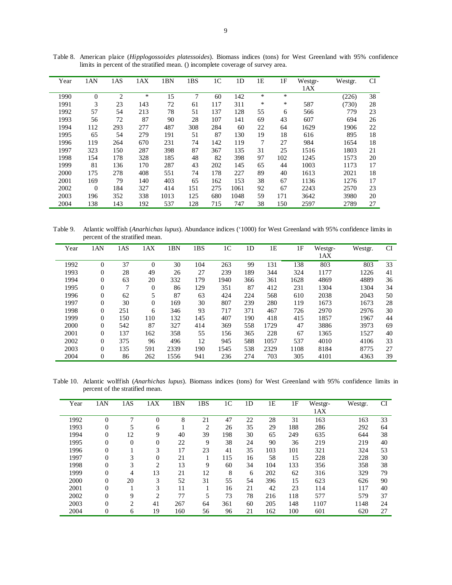| Year | 1AN      | 1AS | 1AX | 1BN  | 1BS | 1 <sup>C</sup> | 1 <sub>D</sub> | 1E | 1F  | Westgr- | Westgr. | <b>CI</b> |
|------|----------|-----|-----|------|-----|----------------|----------------|----|-----|---------|---------|-----------|
|      |          |     |     |      |     |                |                |    |     | 1AX     |         |           |
| 1990 | $\theta$ | 2   | ∗   | 15   | 7   | 60             | 142            | *  | *   |         | (226)   | 38        |
| 1991 | 3        | 23  | 143 | 72   | 61  | 117            | 311            | *  | *   | 587     | (730)   | 28        |
| 1992 | 57       | 54  | 213 | 78   | 51  | 137            | 128            | 55 | 6   | 566     | 779     | 23        |
| 1993 | 56       | 72  | 87  | 90   | 28  | 107            | 141            | 69 | 43  | 607     | 694     | 26        |
| 1994 | 112      | 293 | 277 | 487  | 308 | 284            | 60             | 22 | 64  | 1629    | 1906    | 22        |
| 1995 | 65       | 54  | 279 | 191  | 51  | 87             | 130            | 19 | 18  | 616     | 895     | 18        |
| 1996 | 119      | 264 | 670 | 231  | 74  | 142            | 119            | 7  | 27  | 984     | 1654    | 18        |
| 1997 | 323      | 150 | 287 | 398  | 87  | 367            | 135            | 31 | 25  | 1516    | 1803    | 21        |
| 1998 | 154      | 178 | 328 | 185  | 48  | 82             | 398            | 97 | 102 | 1245    | 1573    | 20        |
| 1999 | 81       | 136 | 170 | 287  | 43  | 202            | 145            | 65 | 44  | 1003    | 1173    | 17        |
| 2000 | 175      | 278 | 408 | 551  | 74  | 178            | 227            | 89 | 40  | 1613    | 2021    | 18        |
| 2001 | 169      | 79  | 140 | 403  | 65  | 162            | 153            | 38 | 67  | 1136    | 1276    | 17        |
| 2002 | $\theta$ | 184 | 327 | 414  | 151 | 275            | 1061           | 92 | 67  | 2243    | 2570    | 23        |
| 2003 | 196      | 352 | 338 | 1013 | 125 | 680            | 1048           | 59 | 171 | 3642    | 3980    | 20        |
| 2004 | 138      | 143 | 192 | 537  | 128 | 715            | 747            | 38 | 150 | 2597    | 2789    | 27        |

Table 8. American plaice (*Hipplogossoides platessoides*). Biomass indices (tons) for West Greenland with 95% confidence limits in percent of the stratified mean. () incomplete coverage of survey area.

Table 9. Atlantic wolffish (*Anarhichas lupus*). Abundance indices ('1000) for West Greenland with 95% confidence limits in percent of the stratified mean.

| Year | 1AN              | 1AS | 1AX            | 1BN  | 1BS | 1 <sup>C</sup> | 1 <sub>D</sub> | 1E   | 1F   | Westgr- | Westgr. | <b>CI</b> |
|------|------------------|-----|----------------|------|-----|----------------|----------------|------|------|---------|---------|-----------|
|      |                  |     |                |      |     |                |                |      |      | 1AX     |         |           |
| 1992 | $\overline{0}$   | 37  | $\Omega$       | 30   | 104 | 263            | 99             | 131  | 138  | 803     | 803     | 33        |
| 1993 | $\overline{0}$   | 28  | 49             | 26   | 27  | 239            | 189            | 344  | 324  | 1177    | 1226    | 41        |
| 1994 | $\boldsymbol{0}$ | 63  | 20             | 332  | 179 | 1940           | 366            | 361  | 1628 | 4869    | 4889    | 36        |
| 1995 | $\mathbf{0}$     | 7   | $\theta$       | 86   | 129 | 351            | 87             | 412  | 231  | 1304    | 1304    | 34        |
| 1996 | $\boldsymbol{0}$ | 62  | 5              | 87   | 63  | 424            | 224            | 568  | 610  | 2038    | 2043    | 50        |
| 1997 | $\overline{0}$   | 30  | $\overline{0}$ | 169  | 30  | 807            | 239            | 280  | 119  | 1673    | 1673    | 28        |
| 1998 | 0                | 251 | 6              | 346  | 93  | 717            | 371            | 467  | 726  | 2970    | 2976    | 30        |
| 1999 | $\overline{0}$   | 150 | 110            | 132  | 145 | 407            | 190            | 418  | 415  | 1857    | 1967    | 44        |
| 2000 | $\overline{0}$   | 542 | 87             | 327  | 414 | 369            | 558            | 1729 | 47   | 3886    | 3973    | 69        |
| 2001 | 0                | 137 | 162            | 358  | 55  | 156            | 365            | 228  | 67   | 1365    | 1527    | 40        |
| 2002 | $\overline{0}$   | 375 | 96             | 496  | 12  | 945            | 588            | 1057 | 537  | 4010    | 4106    | 33        |
| 2003 | 0                | 135 | 591            | 2339 | 190 | 1545           | 538            | 2329 | 1108 | 8184    | 8775    | 27        |
| 2004 | $\mathbf{0}$     | 86  | 262            | 1556 | 941 | 236            | 274            | 703  | 305  | 4101    | 4363    | 39        |

Table 10. Atlantic wolffish (*Anarhichas lupus*). Biomass indices (tons) for West Greenland with 95% confidence limits in percent of the stratified mean.

| Year | 1AN            | 1AS            | 1AX            | 1BN | 1BS            | 1 <sup>C</sup> | 1 <sub>D</sub> | 1Ε  | 1F  | Westgr- | Westgr. | <b>CI</b> |
|------|----------------|----------------|----------------|-----|----------------|----------------|----------------|-----|-----|---------|---------|-----------|
|      |                |                |                |     |                |                |                |     |     | 1AX     |         |           |
| 1992 | $\Omega$       | 7              | $\overline{0}$ | 8   | 21             | 47             | 22             | 28  | 31  | 163     | 163     | 33        |
| 1993 | $\Omega$       | 5              | 6              |     | $\overline{2}$ | 26             | 35             | 29  | 188 | 286     | 292     | 64        |
| 1994 | $\Omega$       | 12             | 9              | 40  | 39             | 198            | 30             | 65  | 249 | 635     | 644     | 38        |
| 1995 | $\Omega$       | $\overline{0}$ | $\overline{0}$ | 22  | 9              | 38             | 24             | 90  | 36  | 219     | 219     | 40        |
| 1996 | $\theta$       |                | 3              | 17  | 23             | 41             | 35             | 103 | 101 | 321     | 324     | 53        |
| 1997 | $\theta$       | 3              | $\overline{0}$ | 21  |                | 115            | 16             | 58  | 15  | 228     | 228     | 30        |
| 1998 | $\theta$       | 3              | $\overline{2}$ | 13  | 9              | 60             | 34             | 104 | 133 | 356     | 358     | 38        |
| 1999 | $\overline{0}$ | 4              | 13             | 21  | 12             | 8              | 6              | 202 | 62  | 316     | 329     | 79        |
| 2000 | $\Omega$       | 20             | 3              | 52  | 31             | 55             | 54             | 396 | 15  | 623     | 626     | 90        |
| 2001 | $\Omega$       |                | 3              | 11  |                | 16             | 21             | 42  | 23  | 114     | 117     | 40        |
| 2002 | $\theta$       | 9              | 2              | 77  | 5              | 73             | 78             | 216 | 118 | 577     | 579     | 37        |
| 2003 | $\theta$       | $\overline{2}$ | 41             | 267 | 64             | 361            | 60             | 205 | 148 | 1107    | 1148    | 24        |
| 2004 | $\overline{0}$ | 6              | 19             | 160 | 56             | 96             | 21             | 162 | 100 | 601     | 620     | 27        |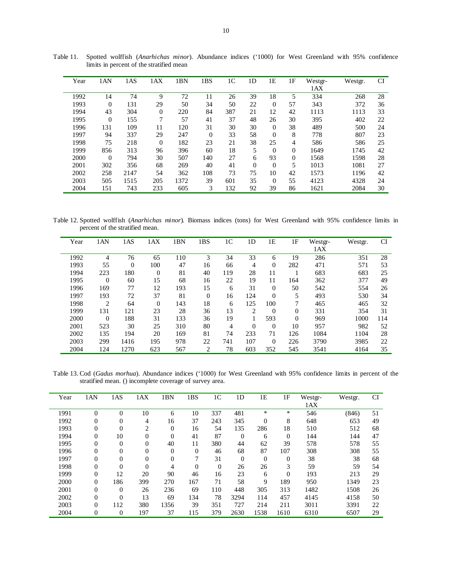| Year | 1AN            | 1AS  | 1AX            | 1BN  | 1BS            | 1 <sup>C</sup> | 1 <sub>D</sub> | 1E             | 1F             | Westgr-<br>1AX | Westgr. | <b>CI</b> |
|------|----------------|------|----------------|------|----------------|----------------|----------------|----------------|----------------|----------------|---------|-----------|
| 1992 | 14             | 74   | 9              | 72   | 11             | 26             | 39             | 18             | 5              | 334            | 268     | 28        |
| 1993 | $\overline{0}$ | 131  | 29             | 50   | 34             | 50             | 22             | $\theta$       | 57             | 343            | 372     | 36        |
| 1994 | 43             | 304  | $\mathbf{0}$   | 220  | 84             | 387            | 21             | 12             | 42             | 1113           | 1113    | 33        |
| 1995 | $\overline{0}$ | 155  | 7              | 57   | 41             | 37             | 48             | 26             | 30             | 395            | 402     | 22        |
| 1996 | 131            | 109  | 11             | 120  | 31             | 30             | 30             | $\theta$       | 38             | 489            | 500     | 24        |
| 1997 | 94             | 337  | 29             | 247  | $\overline{0}$ | 33             | 58             | $\theta$       | 8              | 778            | 807     | 23        |
| 1998 | 75             | 218  | $\overline{0}$ | 182  | 23             | 21             | 38             | 25             | $\overline{4}$ | 586            | 586     | 25        |
| 1999 | 856            | 313  | 96             | 396  | 60             | 18             | 5              | $\theta$       | $\Omega$       | 1649           | 1745    | 42        |
| 2000 | $\theta$       | 794  | 30             | 507  | 140            | 27             | 6              | 93             | $\theta$       | 1568           | 1598    | 28        |
| 2001 | 302            | 356  | 68             | 269  | 40             | 41             | $\overline{0}$ | $\theta$       | 5              | 1013           | 1081    | 27        |
| 2002 | 258            | 2147 | 54             | 362  | 108            | 73             | 75             | 10             | 42             | 1573           | 1196    | 42        |
| 2003 | 505            | 1515 | 205            | 1372 | 39             | 601            | 35             | $\overline{0}$ | 55             | 4123           | 4328    | 24        |
| 2004 | 151            | 743  | 233            | 605  | 3              | 132            | 92             | 39             | 86             | 1621           | 2084    | 30        |

Table 11. Spotted wolffish (*Anarhichas minor*). Abundance indices ('1000) for West Greenland with 95% confidence limits in percent of the stratified mean

Table 12. Spotted wolffish (*Anarhichas minor*). Biomass indices (tons) for West Greenland with 95% confidence limits in percent of the stratified mean.

| Year | 1AN            | 1AS      | 1AX            | 1BN | 1BS            | 1 <sup>C</sup> | 1D           | 1E             | 1F       | Westgr- | Westgr. | CI  |
|------|----------------|----------|----------------|-----|----------------|----------------|--------------|----------------|----------|---------|---------|-----|
|      |                |          |                |     |                |                |              |                |          | 1AX     |         |     |
| 1992 | 4              | 76       | 65             | 110 | 3              | 34             | 33           | 6              | 19       | 286     | 351     | 28  |
| 1993 | 55             | $\theta$ | 100            | 47  | 16             | 66             | 4            | $\overline{0}$ | 282      | 471     | 571     | 53  |
| 1994 | 223            | 180      | $\overline{0}$ | 81  | 40             | 119            | 28           | 11             |          | 683     | 683     | 25  |
| 1995 | $\overline{0}$ | 60       | 15             | 68  | 16             | 22             | 19           | 11             | 164      | 362     | 377     | 49  |
| 1996 | 169            | 77       | 12             | 193 | 15             | 6              | 31           | $\overline{0}$ | 50       | 542     | 554     | 26  |
| 1997 | 193            | 72       | 37             | 81  | $\Omega$       | 16             | 124          | $\overline{0}$ | 5        | 493     | 530     | 34  |
| 1998 | 2              | 64       | $\overline{0}$ | 143 | 18             | 6              | 125          | 100            | 7        | 465     | 465     | 32  |
| 1999 | 131            | 121      | 23             | 28  | 36             | 13             | 2            | $\overline{0}$ | $\Omega$ | 331     | 354     | 31  |
| 2000 | $\overline{0}$ | 188      | 31             | 133 | 36             | 19             |              | 593            | $\theta$ | 969     | 1000    | 114 |
| 2001 | 523            | 30       | 25             | 310 | 80             | 4              | $\mathbf{0}$ | $\overline{0}$ | 10       | 957     | 982     | 52  |
| 2002 | 135            | 194      | 20             | 169 | 81             | 74             | 233          | 71             | 126      | 1084    | 1104    | 28  |
| 2003 | 299            | 1416     | 195            | 978 | 22             | 741            | 107          | $\overline{0}$ | 226      | 3790    | 3985    | 22  |
| 2004 | 124            | 1270     | 623            | 567 | $\overline{2}$ | 78             | 603          | 352            | 545      | 3541    | 4164    | 35  |

Table 13. Cod (*Gadus morhua*). Abundance indices ('1000) for West Greenland with 95% confidence limits in percent of the stratified mean. () incomplete coverage of survey area.

| Year | 1AN              | 1AS            | 1AX      | 1BN          | 1BS            | 1 <sup>C</sup> | 1D             | 1Ε       | 1F       | Westgr- | Westgr. | <b>CI</b> |
|------|------------------|----------------|----------|--------------|----------------|----------------|----------------|----------|----------|---------|---------|-----------|
|      |                  |                |          |              |                |                |                |          |          | 1AX     |         |           |
| 1991 | $\theta$         | $\theta$       | 10       | 6            | 10             | 337            | 481            | *        | *        | 546     | (846)   | 51        |
| 1992 | $\mathbf{0}$     | $\overline{0}$ | 4        | 16           | 37             | 243            | 345            | $\theta$ | 8        | 648     | 653     | 49        |
| 1993 | $\overline{0}$   | $\overline{0}$ | 2        | $\mathbf{0}$ | 16             | 54             | 135            | 286      | 18       | 510     | 512     | 68        |
| 1994 | $\boldsymbol{0}$ | 10             | $\Omega$ | $\mathbf{0}$ | 41             | 87             | $\overline{0}$ | 6        | $\Omega$ | 144     | 144     | 47        |
| 1995 | $\mathbf{0}$     | $\overline{0}$ | $\theta$ | 40           | 11             | 380            | 44             | 62       | 39       | 578     | 578     | 55        |
| 1996 | $\mathbf{0}$     | $\overline{0}$ | 0        | $\Omega$     | $\overline{0}$ | 46             | 68             | 87       | 107      | 308     | 308     | 55        |
| 1997 | $\mathbf{0}$     | 0              | $\theta$ | $\mathbf{0}$ | 7              | 31             | $\overline{0}$ | $\theta$ | $\theta$ | 38      | 38      | 68        |
| 1998 | $\mathbf{0}$     | $\theta$       | $\Omega$ | 4            | $\overline{0}$ | $\theta$       | 26             | 26       | 3        | 59      | 59      | 54        |
| 1999 | $\mathbf{0}$     | 12             | 20       | 90           | 46             | 16             | 23             | 6        | $\theta$ | 193     | 213     | 29        |
| 2000 | $\mathbf{0}$     | 186            | 399      | 270          | 167            | 71             | 58             | 9        | 189      | 950     | 1349    | 23        |
| 2001 | $\mathbf{0}$     | $\overline{0}$ | 26       | 236          | 69             | 110            | 448            | 305      | 313      | 1482    | 1508    | 26        |
| 2002 | $\mathbf{0}$     | $\theta$       | 13       | 69           | 134            | 78             | 3294           | 114      | 457      | 4145    | 4158    | 50        |
| 2003 | $\mathbf{0}$     | 112            | 380      | 1356         | 39             | 351            | 727            | 214      | 211      | 3011    | 3391    | 22        |
| 2004 | $\mathbf{0}$     | 0              | 197      | 37           | 115            | 379            | 2630           | 1538     | 1610     | 6310    | 6507    | 29        |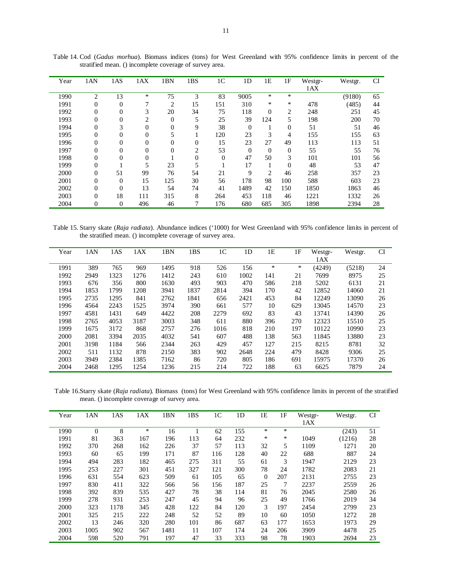| Year | 1AN              | 1AS            | 1AX      | 1 <sub>BN</sub> | 1BS            | 1 <sup>C</sup> | 1 <sub>D</sub> | 1E           | 1F             | Westgr- | Westgr. | <b>CI</b> |
|------|------------------|----------------|----------|-----------------|----------------|----------------|----------------|--------------|----------------|---------|---------|-----------|
|      |                  |                |          |                 |                |                |                |              |                | 1AX     |         |           |
| 1990 | $\overline{c}$   | 13             | *        | 75              | 3              | 83             | 9005           | *            | *              |         | (9180)  | 65        |
| 1991 | $\overline{0}$   | $\overline{0}$ | 7        | $\overline{2}$  | 15             | 151            | 310            | *            | *              | 478     | (485)   | 44        |
| 1992 | $\overline{0}$   | $\overline{0}$ | 3        | 20              | 34             | 75             | 118            | $\mathbf{0}$ | 2              | 248     | 251     | 45        |
| 1993 | $\boldsymbol{0}$ | 0              | 2        | $\theta$        | 5              | 25             | 39             | 124          | 5              | 198     | 200     | 70        |
| 1994 | $\overline{0}$   | 3              | $\Omega$ | $\mathbf{0}$    | 9              | 38             | $\Omega$       | л.           | $\mathbf{0}$   | 51      | 51      | 46        |
| 1995 | $\overline{0}$   | $\overline{0}$ | $\Omega$ | 5               |                | 120            | 23             | 3            | 4              | 155     | 155     | 63        |
| 1996 | $\overline{0}$   | $\overline{0}$ | $\Omega$ | $\Omega$        | $\overline{0}$ | 15             | 23             | 27           | 49             | 113     | 113     | 51        |
| 1997 | $\overline{0}$   | $\overline{0}$ | $\Omega$ | $\Omega$        | 2              | 53             | $\Omega$       | $\Omega$     | $\overline{0}$ | 55      | 55      | 76        |
| 1998 | $\overline{0}$   | $\overline{0}$ | $\Omega$ |                 | 0              | $\theta$       | 47             | 50           | 3              | 101     | 101     | 56        |
| 1999 | $\overline{0}$   |                | 5        | 23              | 5              |                | 17             |              | $\overline{0}$ | 48      | 53      | 47        |
| 2000 | $\overline{0}$   | 51             | 99       | 76              | 54             | 21             | 9              | 2            | 46             | 258     | 357     | 23        |
| 2001 | $\overline{0}$   | $\overline{0}$ | 15       | 125             | 30             | 56             | 178            | 98           | 100            | 588     | 603     | 23        |
| 2002 | $\overline{0}$   | $\overline{0}$ | 13       | 54              | 74             | 41             | 1489           | 42           | 150            | 1850    | 1863    | 46        |
| 2003 | $\overline{0}$   | 18             | 111      | 315             | 8              | 264            | 453            | 118          | 46             | 1221    | 1332    | 26        |
| 2004 | $\overline{0}$   | $\overline{0}$ | 496      | 46              | 7              | 176            | 680            | 685          | 305            | 1898    | 2394    | 28        |

Table 14. Cod (*Gadus morhua*). Biomass indices (tons) for West Greenland with 95% confidence limits in percent of the stratified mean. () incomplete coverage of survey area.

Table 15. Starry skate (*Raja radiata*). Abundance indices ('1000) for West Greenland with 95% confidence limits in percent of the stratified mean. () incomplete coverage of survey area.

| Year | 1AN  | 1AS  | 1AX  | 1BN  | 1BS  | 1 <sup>C</sup> | 1 <sub>D</sub> | 1E  | 1F  | Westgr- | Westgr. | <b>CI</b> |
|------|------|------|------|------|------|----------------|----------------|-----|-----|---------|---------|-----------|
|      |      |      |      |      |      |                |                |     |     | 1AX     |         |           |
| 1991 | 389  | 765  | 969  | 1495 | 918  | 526            | 156            | *   | *   | (4249)  | (5218)  | 24        |
| 1992 | 2949 | 1323 | 1276 | 1412 | 243  | 610            | 1002           | 141 | 21  | 7699    | 8975    | 25        |
| 1993 | 676  | 356  | 800  | 1630 | 493  | 903            | 470            | 586 | 218 | 5202    | 6131    | 21        |
| 1994 | 1853 | 1799 | 1208 | 3941 | 1837 | 2814           | 394            | 170 | 42  | 12852   | 14060   | 21        |
| 1995 | 2735 | 1295 | 841  | 2762 | 1841 | 656            | 2421           | 453 | 84  | 12249   | 13090   | 26        |
| 1996 | 4564 | 2243 | 1525 | 3974 | 390  | 661            | 577            | 10  | 629 | 13045   | 14570   | 23        |
| 1997 | 4581 | 1431 | 649  | 4422 | 208  | 2279           | 692            | 83  | 43  | 13741   | 14390   | 26        |
| 1998 | 2765 | 4053 | 3187 | 3003 | 348  | 611            | 880            | 396 | 270 | 12323   | 15510   | 25        |
| 1999 | 1675 | 3172 | 868  | 2757 | 276  | 1016           | 818            | 210 | 197 | 10122   | 10990   | 23        |
| 2000 | 2081 | 3394 | 2035 | 4032 | 541  | 607            | 488            | 138 | 563 | 11845   | 13880   | 23        |
| 2001 | 3198 | 1184 | 566  | 2344 | 263  | 429            | 457            | 127 | 215 | 8215    | 8781    | 32        |
| 2002 | 511  | 1132 | 878  | 2150 | 383  | 902            | 2648           | 224 | 479 | 8428    | 9306    | 25        |
| 2003 | 3949 | 2384 | 1385 | 7162 | 86   | 720            | 805            | 186 | 691 | 15975   | 17370   | 26        |
| 2004 | 2468 | 1295 | 1254 | 1236 | 215  | 214            | 722            | 188 | 63  | 6625    | 7879    | 24        |

 Table 16.Starry skate (*Raja radiata*). Biomass (tons) for West Greenland with 95% confidence limits in percent of the stratified mean. () incomplete coverage of survey area.

| Year | 1AN      | 1AS  | 1AX    | 1BN  | 1BS | 1 <sup>C</sup> | 1 <sub>D</sub> | 1E       | 1F  | Westgr- | Westgr. | <b>CI</b> |
|------|----------|------|--------|------|-----|----------------|----------------|----------|-----|---------|---------|-----------|
|      |          |      |        |      |     |                |                |          |     | 1AX     |         |           |
| 1990 | $\Omega$ | 8    | $\ast$ | 16   |     | 62             | 155            | *        | *   |         | (243)   | 51        |
| 1991 | 81       | 363  | 167    | 196  | 113 | 64             | 232            | *        | ∗   | 1049    | (1216)  | 28        |
| 1992 | 370      | 268  | 162    | 226  | 37  | 57             | 113            | 32       | 5   | 1109    | 1271    | 20        |
| 1993 | 60       | 65   | 199    | 171  | 87  | 116            | 128            | 40       | 22  | 688     | 887     | 24        |
| 1994 | 494      | 283  | 182    | 465  | 275 | 311            | 55             | 61       | 3   | 1947    | 2129    | 23        |
| 1995 | 253      | 227  | 301    | 451  | 327 | 121            | 300            | 78       | 24  | 1782    | 2083    | 21        |
| 1996 | 631      | 554  | 623    | 509  | 61  | 105            | 65             | $\theta$ | 207 | 2131    | 2755    | 23        |
| 1997 | 830      | 411  | 322    | 566  | 56  | 156            | 187            | 25       | 7   | 2237    | 2559    | 26        |
| 1998 | 392      | 839  | 535    | 427  | 78  | 38             | 114            | 81       | 76  | 2045    | 2580    | 26        |
| 1999 | 278      | 931  | 253    | 247  | 45  | 94             | 96             | 25       | 49  | 1766    | 2019    | 34        |
| 2000 | 323      | 1178 | 345    | 428  | 122 | 84             | 120            | 3        | 197 | 2454    | 2799    | 23        |
| 2001 | 325      | 215  | 222    | 248  | 52  | 52             | 89             | 10       | 60  | 1050    | 1272    | 28        |
| 2002 | 13       | 246  | 320    | 280  | 101 | 86             | 687            | 63       | 177 | 1653    | 1973    | 29        |
| 2003 | 1005     | 902  | 567    | 1481 | 11  | 107            | 174            | 24       | 206 | 3909    | 4478    | 25        |
| 2004 | 598      | 520  | 791    | 197  | 47  | 33             | 333            | 98       | 78  | 1903    | 2694    | 23        |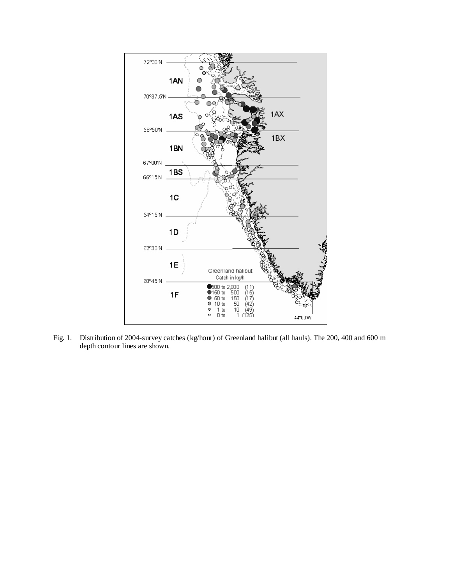

Fig. 1. Distribution of 2004-survey catches (kg/hour) of Greenland halibut (all hauls). The 200, 400 and 600 m depth contour lines are shown.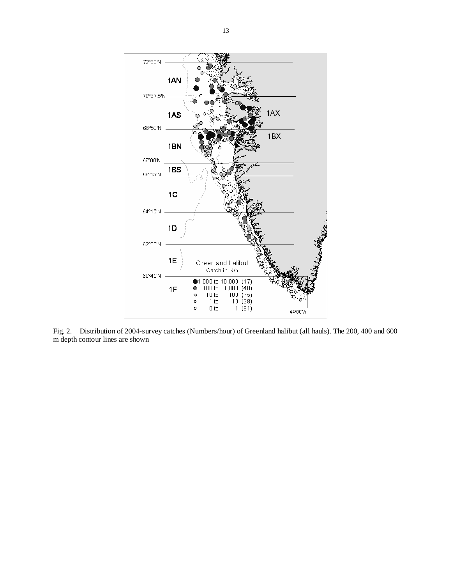

Fig. 2. Distribution of 2004-survey catches (Numbers/hour) of Greenland halibut (all hauls). The 200, 400 and 600 m depth contour lines are shown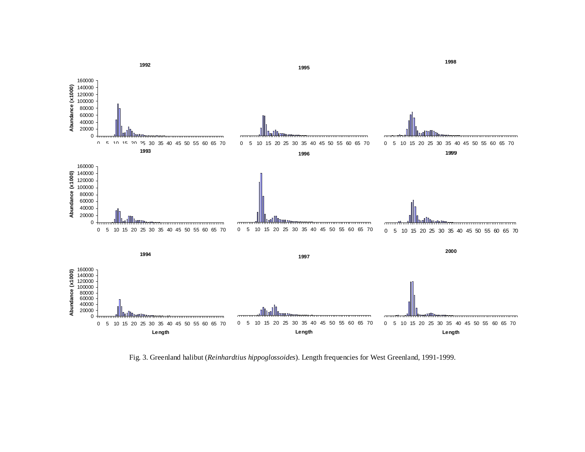

Fig. 3. Greenland halibut (*Reinhardtius hippoglossoides*). Length frequencies for West Greenland, 1991-1999.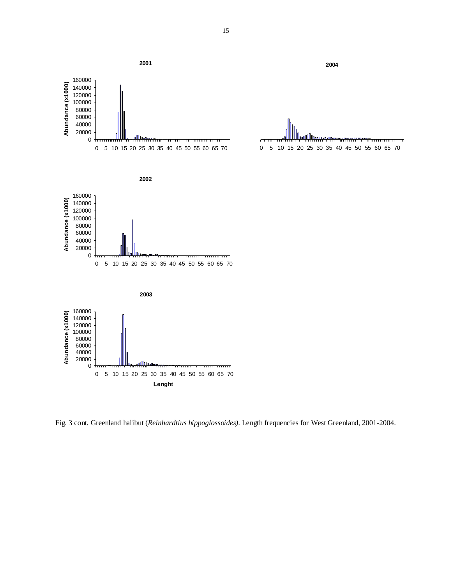

Fig. 3 cont. Greenland halibut (*Reinhardtius hippoglossoides).* Length frequencies for West Greenland, 2001-2004.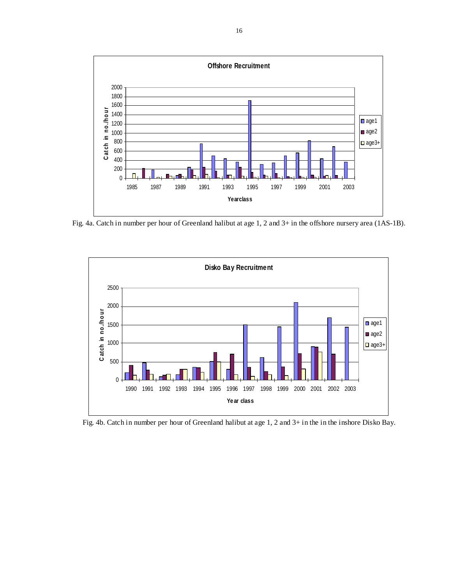

Fig. 4a. Catch in number per hour of Greenland halibut at age 1, 2 and 3+ in the offshore nursery area (1AS-1B).



Fig. 4b. Catch in number per hour of Greenland halibut at age 1, 2 and 3+ in the in the inshore Disko Bay.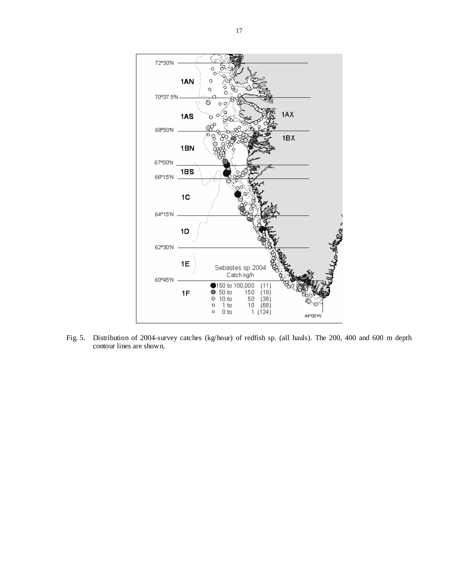

Fig. 5. Distribution of 2004-survey catches (kg/hour) of redfish sp. (all hauls). The 200, 400 and 600 m depth contour lines are shown.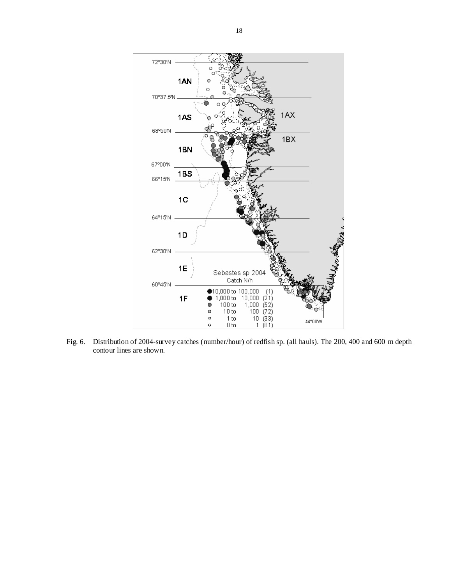

Fig. 6. Distribution of 2004-survey catches (number/hour) of redfish sp. (all hauls). The 200, 400 and 600 m depth contour lines are shown.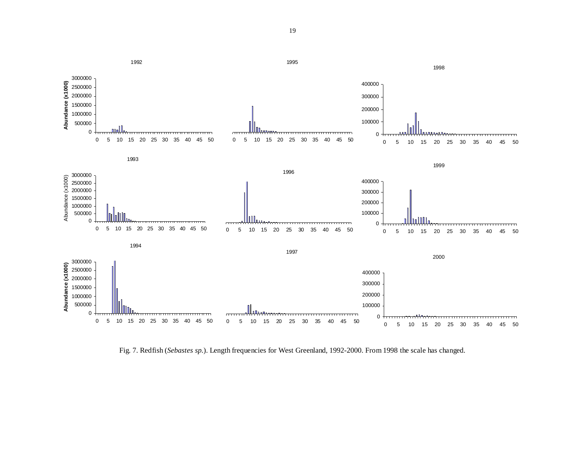

Fig. 7. Redfish (*Sebastes sp.*). Length frequencies for West Greenland, 1992-2000. From 1998 the scale has changed.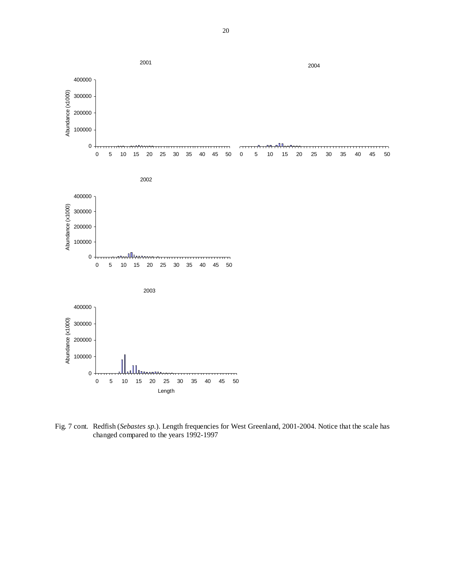

 Fig. 7 cont. Redfish (*Sebastes sp.*). Length frequencies for West Greenland, 2001-2004. Notice that the scale has changed compared to the years 1992-1997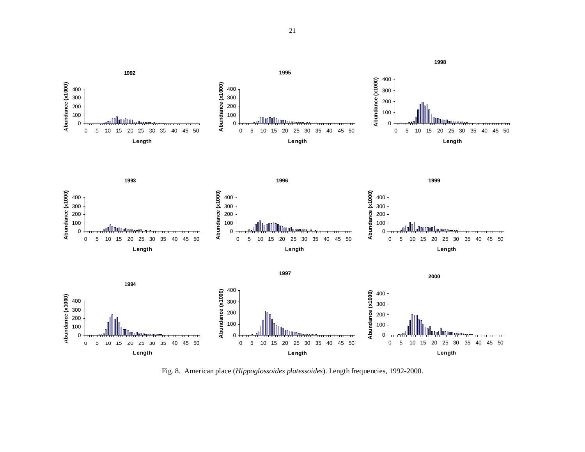

Fig. 8. American place (*Hippoglossoides platessoides*). Length frequencies, 1992-2000.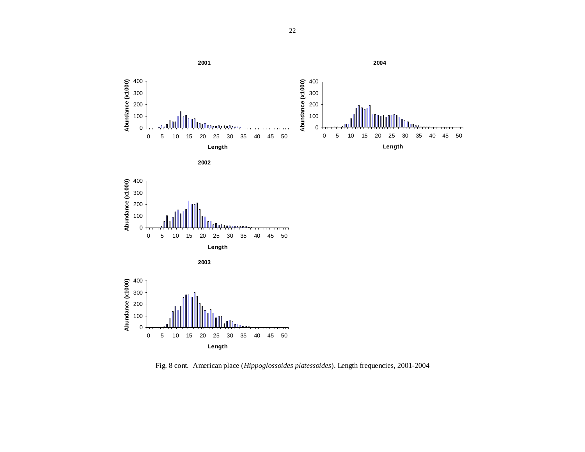



0



Fig. 8 cont. American place (*Hippoglossoides platessoides*). Length frequencies, 2001-2004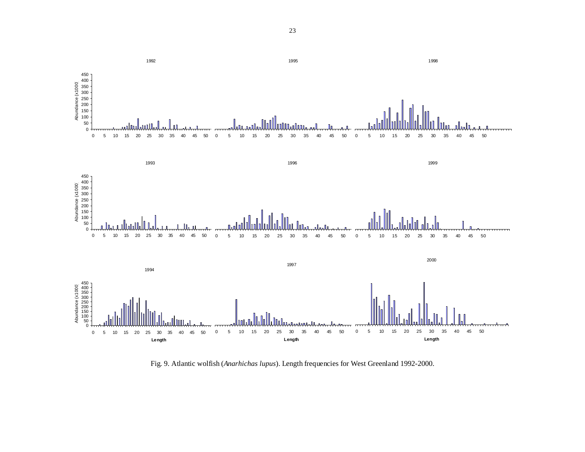

Fig. 9. Atlantic wolfish (*Anarhichas lupus*). Length frequencies for West Greenland 1992-2000.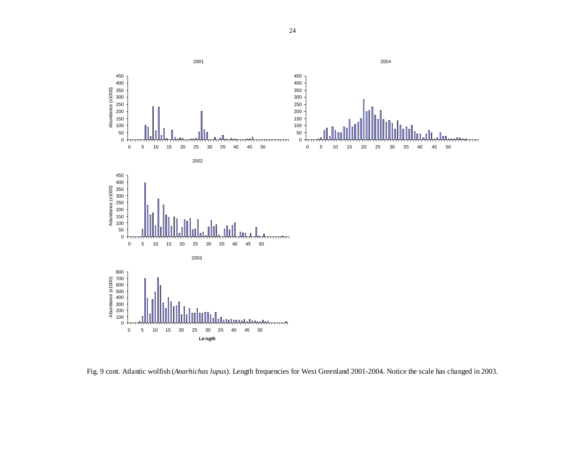



Fig. 9 cont. Atlantic wolfish (*Anarhichas lupus*). Length frequencies for West Greenland 2001-2004. Notice the scale has changed in 2003.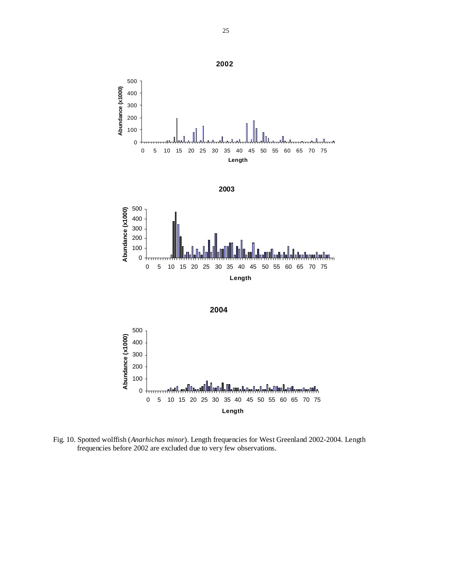

Fig. 10. Spotted wolffish (*Anarhichas minor*). Length frequencies for West Greenland 2002-2004. Length frequencies before 2002 are excluded due to very few observations.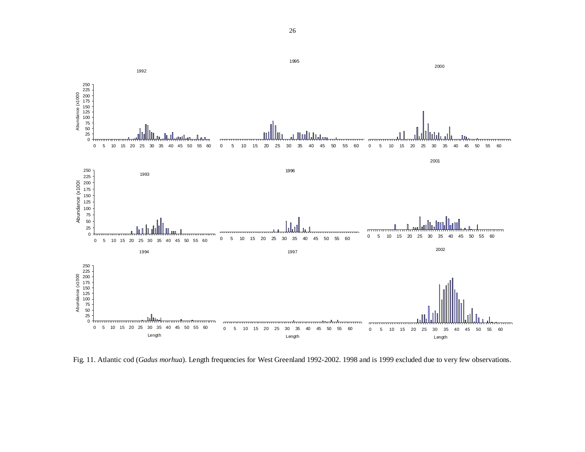

Fig. 11. Atlantic cod (*Gadus morhua*). Length frequencies for West Greenland 1992-2002. 1998 and is 1999 excluded due to very few observations.